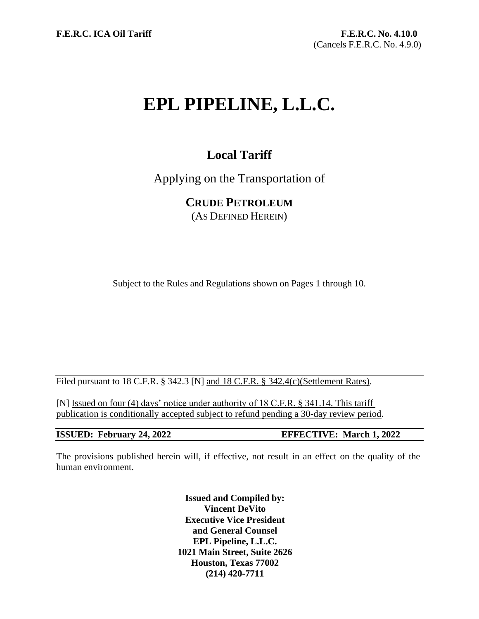# **EPL PIPELINE, L.L.C.**

# **Local Tariff**

Applying on the Transportation of

**CRUDE PETROLEUM**

(AS DEFINED HEREIN)

Subject to the Rules and Regulations shown on Pages 1 through 10.

Filed pursuant to 18 C.F.R. § 342.3 [N] and 18 C.F.R. § 342.4(c)(Settlement Rates).

[N] Issued on four (4) days' notice under authority of 18 C.F.R. § 341.14. This tariff publication is conditionally accepted subject to refund pending a 30-day review period.

**ISSUED: February 24, 2022 EFFECTIVE: March 1, 2022**

The provisions published herein will, if effective, not result in an effect on the quality of the human environment.

> **Issued and Compiled by: Vincent DeVito Executive Vice President and General Counsel EPL Pipeline, L.L.C. 1021 Main Street, Suite 2626 Houston, Texas 77002 (214) 420-7711**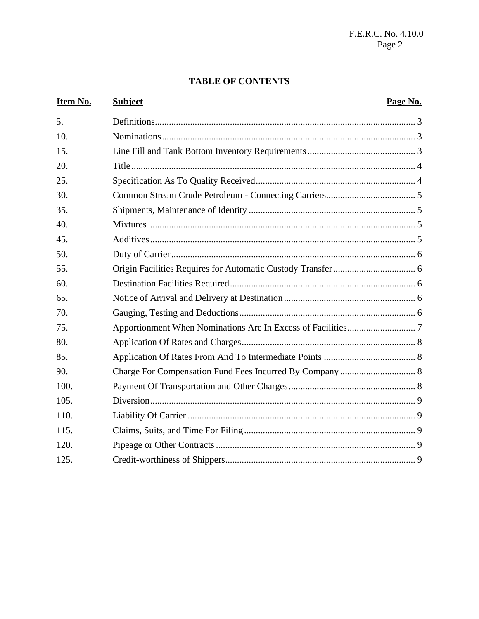#### **TABLE OF CONTENTS**

#### Item No. **Subject** Page No.  $5<sub>1</sub>$  $10<sub>l</sub>$  $15.$ 20. 25. 30. 35. 40. 45. 50. 55. 60. 65. 70. 75. 80. 85.  $90.$  $100<sub>1</sub>$ 105.  $110$  $115.$ 120. 125.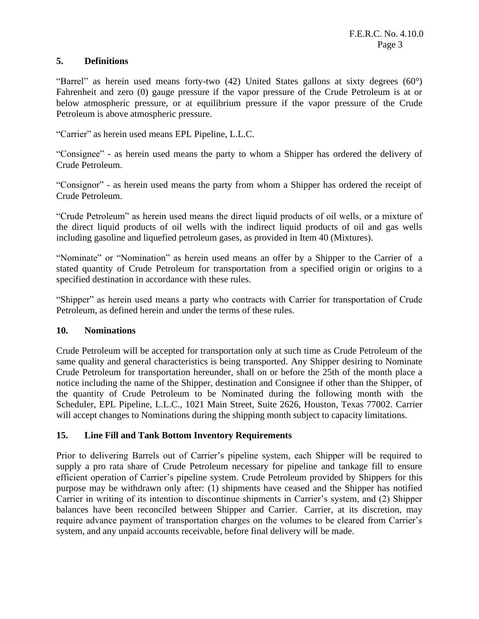#### **5. Definitions**

"Barrel" as herein used means forty-two (42) United States gallons at sixty degrees (60°) Fahrenheit and zero (0) gauge pressure if the vapor pressure of the Crude Petroleum is at or below atmospheric pressure, or at equilibrium pressure if the vapor pressure of the Crude Petroleum is above atmospheric pressure.

"Carrier" as herein used means EPL Pipeline, L.L.C.

"Consignee" - as herein used means the party to whom a Shipper has ordered the delivery of Crude Petroleum.

"Consignor" - as herein used means the party from whom a Shipper has ordered the receipt of Crude Petroleum.

"Crude Petroleum" as herein used means the direct liquid products of oil wells, or a mixture of the direct liquid products of oil wells with the indirect liquid products of oil and gas wells including gasoline and liquefied petroleum gases, as provided in Item 40 (Mixtures).

"Nominate" or "Nomination" as herein used means an offer by a Shipper to the Carrier of a stated quantity of Crude Petroleum for transportation from a specified origin or origins to a specified destination in accordance with these rules.

"Shipper" as herein used means a party who contracts with Carrier for transportation of Crude Petroleum, as defined herein and under the terms of these rules.

#### **10. Nominations**

Crude Petroleum will be accepted for transportation only at such time as Crude Petroleum of the same quality and general characteristics is being transported. Any Shipper desiring to Nominate Crude Petroleum for transportation hereunder, shall on or before the 25th of the month place a notice including the name of the Shipper, destination and Consignee if other than the Shipper, of the quantity of Crude Petroleum to be Nominated during the following month with the Scheduler, EPL Pipeline, L.L.C., 1021 Main Street, Suite 2626, Houston, Texas 77002. Carrier will accept changes to Nominations during the shipping month subject to capacity limitations.

#### **15. Line Fill and Tank Bottom Inventory Requirements**

Prior to delivering Barrels out of Carrier's pipeline system, each Shipper will be required to supply a pro rata share of Crude Petroleum necessary for pipeline and tankage fill to ensure efficient operation of Carrier's pipeline system. Crude Petroleum provided by Shippers for this purpose may be withdrawn only after: (1) shipments have ceased and the Shipper has notified Carrier in writing of its intention to discontinue shipments in Carrier's system, and (2) Shipper balances have been reconciled between Shipper and Carrier. Carrier, at its discretion, may require advance payment of transportation charges on the volumes to be cleared from Carrier's system, and any unpaid accounts receivable, before final delivery will be made.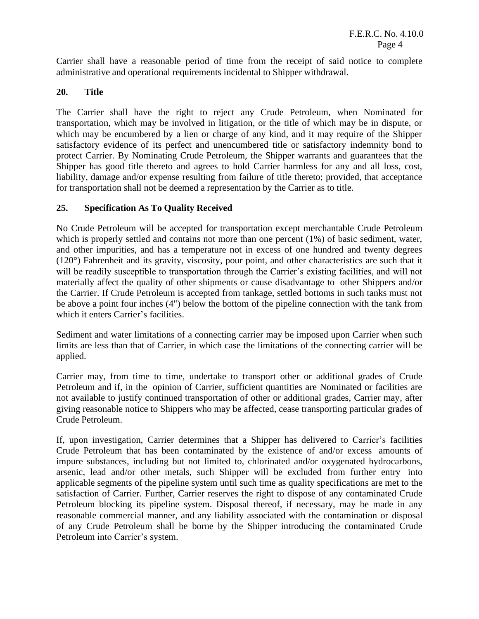Carrier shall have a reasonable period of time from the receipt of said notice to complete administrative and operational requirements incidental to Shipper withdrawal.

#### **20. Title**

The Carrier shall have the right to reject any Crude Petroleum, when Nominated for transportation, which may be involved in litigation, or the title of which may be in dispute, or which may be encumbered by a lien or charge of any kind, and it may require of the Shipper satisfactory evidence of its perfect and unencumbered title or satisfactory indemnity bond to protect Carrier. By Nominating Crude Petroleum, the Shipper warrants and guarantees that the Shipper has good title thereto and agrees to hold Carrier harmless for any and all loss, cost, liability, damage and/or expense resulting from failure of title thereto; provided, that acceptance for transportation shall not be deemed a representation by the Carrier as to title.

#### **25. Specification As To Quality Received**

No Crude Petroleum will be accepted for transportation except merchantable Crude Petroleum which is properly settled and contains not more than one percent (1%) of basic sediment, water, and other impurities, and has a temperature not in excess of one hundred and twenty degrees (120°) Fahrenheit and its gravity, viscosity, pour point, and other characteristics are such that it will be readily susceptible to transportation through the Carrier's existing facilities, and will not materially affect the quality of other shipments or cause disadvantage to other Shippers and/or the Carrier. If Crude Petroleum is accepted from tankage, settled bottoms in such tanks must not be above a point four inches (4") below the bottom of the pipeline connection with the tank from which it enters Carrier's facilities.

Sediment and water limitations of a connecting carrier may be imposed upon Carrier when such limits are less than that of Carrier, in which case the limitations of the connecting carrier will be applied.

Carrier may, from time to time, undertake to transport other or additional grades of Crude Petroleum and if, in the opinion of Carrier, sufficient quantities are Nominated or facilities are not available to justify continued transportation of other or additional grades, Carrier may, after giving reasonable notice to Shippers who may be affected, cease transporting particular grades of Crude Petroleum.

If, upon investigation, Carrier determines that a Shipper has delivered to Carrier's facilities Crude Petroleum that has been contaminated by the existence of and/or excess amounts of impure substances, including but not limited to, chlorinated and/or oxygenated hydrocarbons, arsenic, lead and/or other metals, such Shipper will be excluded from further entry into applicable segments of the pipeline system until such time as quality specifications are met to the satisfaction of Carrier. Further, Carrier reserves the right to dispose of any contaminated Crude Petroleum blocking its pipeline system. Disposal thereof, if necessary, may be made in any reasonable commercial manner, and any liability associated with the contamination or disposal of any Crude Petroleum shall be borne by the Shipper introducing the contaminated Crude Petroleum into Carrier's system.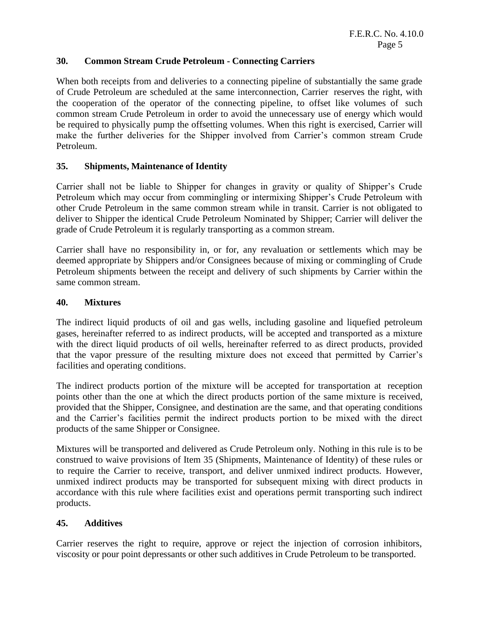#### **30. Common Stream Crude Petroleum - Connecting Carriers**

When both receipts from and deliveries to a connecting pipeline of substantially the same grade of Crude Petroleum are scheduled at the same interconnection, Carrier reserves the right, with the cooperation of the operator of the connecting pipeline, to offset like volumes of such common stream Crude Petroleum in order to avoid the unnecessary use of energy which would be required to physically pump the offsetting volumes. When this right is exercised, Carrier will make the further deliveries for the Shipper involved from Carrier's common stream Crude Petroleum.

#### **35. Shipments, Maintenance of Identity**

Carrier shall not be liable to Shipper for changes in gravity or quality of Shipper's Crude Petroleum which may occur from commingling or intermixing Shipper's Crude Petroleum with other Crude Petroleum in the same common stream while in transit. Carrier is not obligated to deliver to Shipper the identical Crude Petroleum Nominated by Shipper; Carrier will deliver the grade of Crude Petroleum it is regularly transporting as a common stream.

Carrier shall have no responsibility in, or for, any revaluation or settlements which may be deemed appropriate by Shippers and/or Consignees because of mixing or commingling of Crude Petroleum shipments between the receipt and delivery of such shipments by Carrier within the same common stream.

#### **40. Mixtures**

The indirect liquid products of oil and gas wells, including gasoline and liquefied petroleum gases, hereinafter referred to as indirect products, will be accepted and transported as a mixture with the direct liquid products of oil wells, hereinafter referred to as direct products, provided that the vapor pressure of the resulting mixture does not exceed that permitted by Carrier's facilities and operating conditions.

The indirect products portion of the mixture will be accepted for transportation at reception points other than the one at which the direct products portion of the same mixture is received, provided that the Shipper, Consignee, and destination are the same, and that operating conditions and the Carrier's facilities permit the indirect products portion to be mixed with the direct products of the same Shipper or Consignee.

Mixtures will be transported and delivered as Crude Petroleum only. Nothing in this rule is to be construed to waive provisions of Item 35 (Shipments, Maintenance of Identity) of these rules or to require the Carrier to receive, transport, and deliver unmixed indirect products. However, unmixed indirect products may be transported for subsequent mixing with direct products in accordance with this rule where facilities exist and operations permit transporting such indirect products.

#### **45. Additives**

Carrier reserves the right to require, approve or reject the injection of corrosion inhibitors, viscosity or pour point depressants or other such additives in Crude Petroleum to be transported.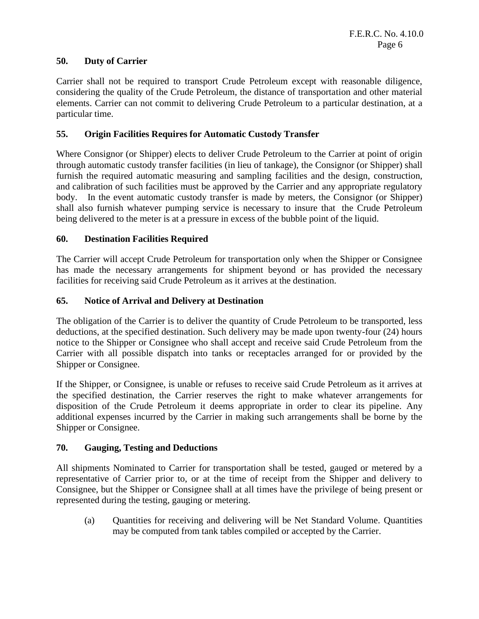#### **50. Duty of Carrier**

Carrier shall not be required to transport Crude Petroleum except with reasonable diligence, considering the quality of the Crude Petroleum, the distance of transportation and other material elements. Carrier can not commit to delivering Crude Petroleum to a particular destination, at a particular time.

#### **55. Origin Facilities Requires for Automatic Custody Transfer**

Where Consignor (or Shipper) elects to deliver Crude Petroleum to the Carrier at point of origin through automatic custody transfer facilities (in lieu of tankage), the Consignor (or Shipper) shall furnish the required automatic measuring and sampling facilities and the design, construction, and calibration of such facilities must be approved by the Carrier and any appropriate regulatory body. In the event automatic custody transfer is made by meters, the Consignor (or Shipper) shall also furnish whatever pumping service is necessary to insure that the Crude Petroleum being delivered to the meter is at a pressure in excess of the bubble point of the liquid.

#### **60. Destination Facilities Required**

The Carrier will accept Crude Petroleum for transportation only when the Shipper or Consignee has made the necessary arrangements for shipment beyond or has provided the necessary facilities for receiving said Crude Petroleum as it arrives at the destination.

#### **65. Notice of Arrival and Delivery at Destination**

The obligation of the Carrier is to deliver the quantity of Crude Petroleum to be transported, less deductions, at the specified destination. Such delivery may be made upon twenty-four (24) hours notice to the Shipper or Consignee who shall accept and receive said Crude Petroleum from the Carrier with all possible dispatch into tanks or receptacles arranged for or provided by the Shipper or Consignee.

If the Shipper, or Consignee, is unable or refuses to receive said Crude Petroleum as it arrives at the specified destination, the Carrier reserves the right to make whatever arrangements for disposition of the Crude Petroleum it deems appropriate in order to clear its pipeline. Any additional expenses incurred by the Carrier in making such arrangements shall be borne by the Shipper or Consignee.

#### **70. Gauging, Testing and Deductions**

All shipments Nominated to Carrier for transportation shall be tested, gauged or metered by a representative of Carrier prior to, or at the time of receipt from the Shipper and delivery to Consignee, but the Shipper or Consignee shall at all times have the privilege of being present or represented during the testing, gauging or metering.

(a) Quantities for receiving and delivering will be Net Standard Volume. Quantities may be computed from tank tables compiled or accepted by the Carrier.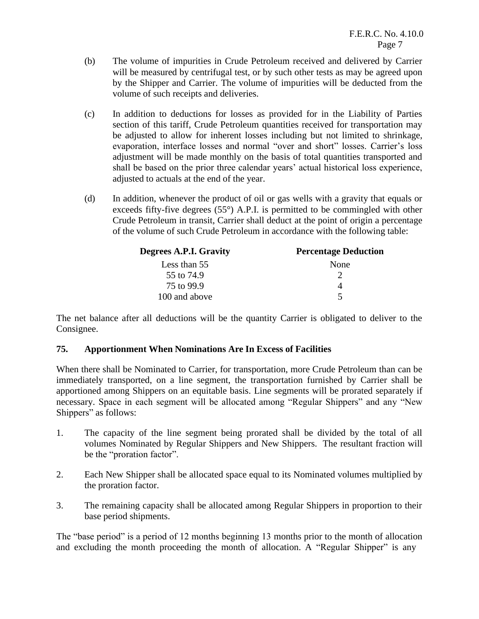- (b) The volume of impurities in Crude Petroleum received and delivered by Carrier will be measured by centrifugal test, or by such other tests as may be agreed upon by the Shipper and Carrier. The volume of impurities will be deducted from the volume of such receipts and deliveries.
- (c) In addition to deductions for losses as provided for in the Liability of Parties section of this tariff, Crude Petroleum quantities received for transportation may be adjusted to allow for inherent losses including but not limited to shrinkage, evaporation, interface losses and normal "over and short" losses. Carrier's loss adjustment will be made monthly on the basis of total quantities transported and shall be based on the prior three calendar years' actual historical loss experience, adjusted to actuals at the end of the year.
- (d) In addition, whenever the product of oil or gas wells with a gravity that equals or exceeds fifty-five degrees (55°) A.P.I. is permitted to be commingled with other Crude Petroleum in transit, Carrier shall deduct at the point of origin a percentage of the volume of such Crude Petroleum in accordance with the following table:

| Degrees A.P.I. Gravity | <b>Percentage Deduction</b> |  |
|------------------------|-----------------------------|--|
| Less than 55           | None                        |  |
| 55 to 74.9             |                             |  |
| 75 to 99.9             |                             |  |
| 100 and above          | $\sim$                      |  |

The net balance after all deductions will be the quantity Carrier is obligated to deliver to the Consignee.

#### **75. Apportionment When Nominations Are In Excess of Facilities**

When there shall be Nominated to Carrier, for transportation, more Crude Petroleum than can be immediately transported, on a line segment, the transportation furnished by Carrier shall be apportioned among Shippers on an equitable basis. Line segments will be prorated separately if necessary. Space in each segment will be allocated among "Regular Shippers" and any "New Shippers" as follows:

- 1. The capacity of the line segment being prorated shall be divided by the total of all volumes Nominated by Regular Shippers and New Shippers. The resultant fraction will be the "proration factor".
- 2. Each New Shipper shall be allocated space equal to its Nominated volumes multiplied by the proration factor.
- 3. The remaining capacity shall be allocated among Regular Shippers in proportion to their base period shipments.

The "base period" is a period of 12 months beginning 13 months prior to the month of allocation and excluding the month proceeding the month of allocation. A "Regular Shipper" is any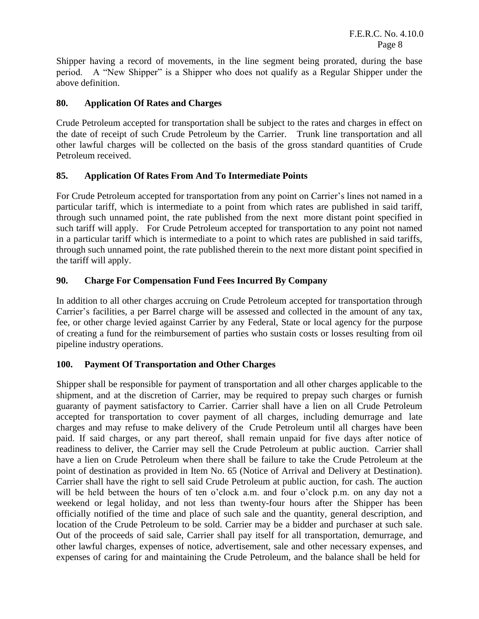Shipper having a record of movements, in the line segment being prorated, during the base period. A "New Shipper" is a Shipper who does not qualify as a Regular Shipper under the above definition.

#### **80. Application Of Rates and Charges**

Crude Petroleum accepted for transportation shall be subject to the rates and charges in effect on the date of receipt of such Crude Petroleum by the Carrier. Trunk line transportation and all other lawful charges will be collected on the basis of the gross standard quantities of Crude Petroleum received.

#### **85. Application Of Rates From And To Intermediate Points**

For Crude Petroleum accepted for transportation from any point on Carrier's lines not named in a particular tariff, which is intermediate to a point from which rates are published in said tariff, through such unnamed point, the rate published from the next more distant point specified in such tariff will apply. For Crude Petroleum accepted for transportation to any point not named in a particular tariff which is intermediate to a point to which rates are published in said tariffs, through such unnamed point, the rate published therein to the next more distant point specified in the tariff will apply.

#### **90. Charge For Compensation Fund Fees Incurred By Company**

In addition to all other charges accruing on Crude Petroleum accepted for transportation through Carrier's facilities, a per Barrel charge will be assessed and collected in the amount of any tax, fee, or other charge levied against Carrier by any Federal, State or local agency for the purpose of creating a fund for the reimbursement of parties who sustain costs or losses resulting from oil pipeline industry operations.

#### **100. Payment Of Transportation and Other Charges**

Shipper shall be responsible for payment of transportation and all other charges applicable to the shipment, and at the discretion of Carrier, may be required to prepay such charges or furnish guaranty of payment satisfactory to Carrier. Carrier shall have a lien on all Crude Petroleum accepted for transportation to cover payment of all charges, including demurrage and late charges and may refuse to make delivery of the Crude Petroleum until all charges have been paid. If said charges, or any part thereof, shall remain unpaid for five days after notice of readiness to deliver, the Carrier may sell the Crude Petroleum at public auction. Carrier shall have a lien on Crude Petroleum when there shall be failure to take the Crude Petroleum at the point of destination as provided in Item No. 65 (Notice of Arrival and Delivery at Destination). Carrier shall have the right to sell said Crude Petroleum at public auction, for cash. The auction will be held between the hours of ten o'clock a.m. and four o'clock p.m. on any day not a weekend or legal holiday, and not less than twenty-four hours after the Shipper has been officially notified of the time and place of such sale and the quantity, general description, and location of the Crude Petroleum to be sold. Carrier may be a bidder and purchaser at such sale. Out of the proceeds of said sale, Carrier shall pay itself for all transportation, demurrage, and other lawful charges, expenses of notice, advertisement, sale and other necessary expenses, and expenses of caring for and maintaining the Crude Petroleum, and the balance shall be held for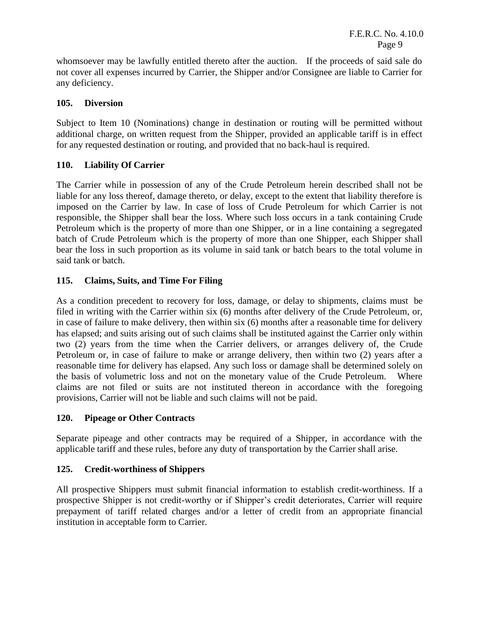whomsoever may be lawfully entitled thereto after the auction. If the proceeds of said sale do not cover all expenses incurred by Carrier, the Shipper and/or Consignee are liable to Carrier for any deficiency.

#### **105. Diversion**

Subject to Item 10 (Nominations) change in destination or routing will be permitted without additional charge, on written request from the Shipper, provided an applicable tariff is in effect for any requested destination or routing, and provided that no back-haul is required.

### **110. Liability Of Carrier**

The Carrier while in possession of any of the Crude Petroleum herein described shall not be liable for any loss thereof, damage thereto, or delay, except to the extent that liability therefore is imposed on the Carrier by law. In case of loss of Crude Petroleum for which Carrier is not responsible, the Shipper shall bear the loss. Where such loss occurs in a tank containing Crude Petroleum which is the property of more than one Shipper, or in a line containing a segregated batch of Crude Petroleum which is the property of more than one Shipper, each Shipper shall bear the loss in such proportion as its volume in said tank or batch bears to the total volume in said tank or batch.

### **115. Claims, Suits, and Time For Filing**

As a condition precedent to recovery for loss, damage, or delay to shipments, claims must be filed in writing with the Carrier within six (6) months after delivery of the Crude Petroleum, or, in case of failure to make delivery, then within six (6) months after a reasonable time for delivery has elapsed; and suits arising out of such claims shall be instituted against the Carrier only within two (2) years from the time when the Carrier delivers, or arranges delivery of, the Crude Petroleum or, in case of failure to make or arrange delivery, then within two (2) years after a reasonable time for delivery has elapsed. Any such loss or damage shall be determined solely on the basis of volumetric loss and not on the monetary value of the Crude Petroleum. Where claims are not filed or suits are not instituted thereon in accordance with the foregoing provisions, Carrier will not be liable and such claims will not be paid.

#### **120. Pipeage or Other Contracts**

Separate pipeage and other contracts may be required of a Shipper, in accordance with the applicable tariff and these rules, before any duty of transportation by the Carrier shall arise.

## **125. Credit-worthiness of Shippers**

All prospective Shippers must submit financial information to establish credit-worthiness. If a prospective Shipper is not credit-worthy or if Shipper's credit deteriorates, Carrier will require prepayment of tariff related charges and/or a letter of credit from an appropriate financial institution in acceptable form to Carrier.